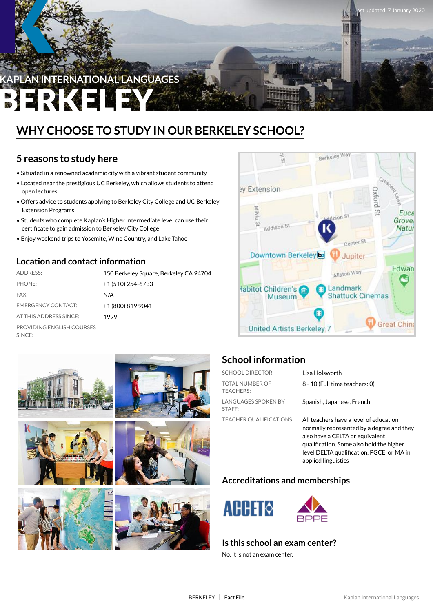

## **WHY CHOOSE TO STUDY IN OUR BERKELEY SCHOOL?**

### **5 reasons to study here**

- Situated in a renowned academic city with a vibrant student community
- Located near the prestigious UC Berkeley, which allows students to attend open lectures
- Offers advice to students applying to Berkeley City College and UC Berkeley Extension Programs
- Students who complete Kaplan's Higher Intermediate level can use their certificate to gain admission to Berkeley City College
- Enjoy weekend trips to Yosemite, Wine Country, and Lake Tahoe

### **Location and contactinformation**

| <b>ADDRESS:</b>                     | 150 Berkeley Square, Berkeley CA 94704 |
|-------------------------------------|----------------------------------------|
| PHONE:                              | +1 (510) 254-6733                      |
| FAX:                                | N/A                                    |
| <b>EMERGENCY CONTACT:</b>           | +1 (800) 819 9041                      |
| AT THIS ADDRESS SINCE:              | 1999                                   |
| PROVIDING ENGLISH COURSES<br>SINCE: |                                        |















### **School information**

| <b>SCHOOL DIRECTOR:</b>             | Lisa Holsworth                                                                     |
|-------------------------------------|------------------------------------------------------------------------------------|
| TOTAL NUMBER OF<br><b>TEACHERS:</b> | 8 - 10 (Full time teachers: 0)                                                     |
| LANGUAGES SPOKEN BY<br>STAFF:       | Spanish, Japanese, French                                                          |
| <b>TEACHER OUALIFICATIONS:</b>      | All teachers have a level of education<br>normally represented by a degree and the |

normally represented by a degree and they also have a CELTA or equivalent qualification. Some also hold the higher level DELTA qualification, PGCE, or MA in applied linguistics

#### **Accreditations and memberships**





#### **Is this school an exam center?**

No, it is not an exam center.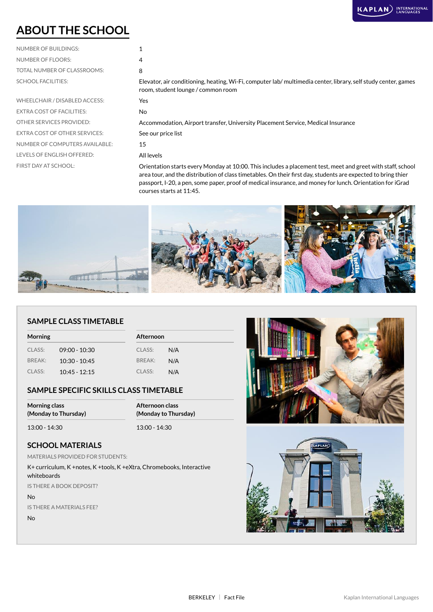### **ABOUT THE SCHOOL**

| NUMBER OF BUILDINGS:        |   |
|-----------------------------|---|
| NUMBER OF FLOORS:           | 4 |
| TOTAL NUMBER OF CLASSROOMS: | 8 |
| <b>SCHOOL FACILITIES:</b>   |   |

WHEELCHAIR / DISABLED ACCESS: Yes EXTRA COST OF FACILITIES: No EXTRA COST OF OTHER SERVICES: See our price list NUMBER OF COMPUTERS AVAILABLE: 15 LEVELS OF ENGLISH OFFERED: All levels

| $\overline{4}$                                                                                                |
|---------------------------------------------------------------------------------------------------------------|
| 8                                                                                                             |
| Elevator, air conditioning, heating, Wi-Fi, computer lab/multimedia center, library, self study center, games |
| room, student lounge / common room                                                                            |

OTHER SERVICES PROVIDED: Accommodation, Airport transfer, University Placement Service, Medical Insurance

FIRST DAY AT SCHOOL: Orientation starts every Monday at 10:00. This includes a placement test, meet and greet with staff, school area tour, and the distribution of class timetables. On their first day, students are expected to bring thier passport, I-20, a pen, some paper, proof of medical insurance, and money for lunch. Orientation for iGrad courses starts at 11:45.



#### **SAMPLE CLASS TIMETABLE**

| <b>Morning</b> |                 | Afternoon |     |
|----------------|-----------------|-----------|-----|
| CLASS:         | $09:00 - 10:30$ | CLASS:    | N/A |
| <b>BRFAK:</b>  | $10:30 - 10:45$ | BREAK:    | N/A |
| CLASS:         | $10:45 - 12:15$ | CLASS:    | N/A |

#### **SAMPLE SPECIFIC SKILLS CLASS TIMETABLE**

| <b>Morning class</b> | Afternoon class      |
|----------------------|----------------------|
| (Monday to Thursday) | (Monday to Thursday) |
| 13:00 - 14:30        | $13:00 - 14:30$      |

#### **SCHOOL MATERIALS**

MATERIALS PROVIDED FOR STUDENTS:

K+ curriculum, K +notes, K +tools, K +eXtra, Chromebooks, Interactive whiteboards

IS THERE A BOOK DEPOSIT?

No

IS THERE A MATERIALS FEE?

No



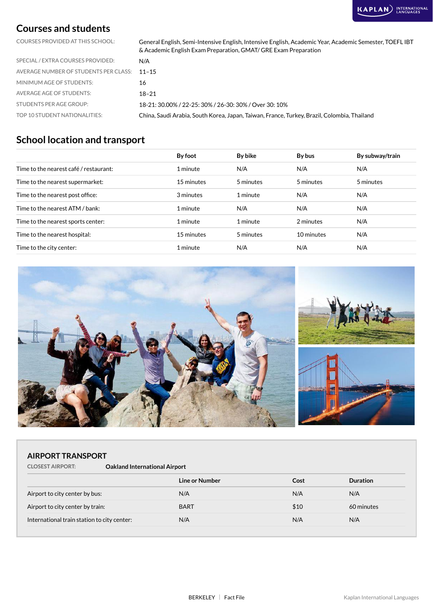#### **Courses and students**

COURSES PROVIDED AT THIS SCHOOL: General English, Semi-Intensive English, Intensive English, Academic Year, Academic Semester, TOEFL IBT & Academic English Exam Preparation, GMAT/ GRE Exam Preparation

| SPECIAL / EXTRA COURSES PROVIDED:           | N/A                                                                                         |
|---------------------------------------------|---------------------------------------------------------------------------------------------|
| AVERAGE NUMBER OF STUDENTS PER CLASS: 11-15 |                                                                                             |
| MINIMUM AGE OF STUDENTS:                    | 16                                                                                          |
| AVERAGE AGE OF STUDENTS:                    | 18–21                                                                                       |
| STUDENTS PER AGE GROUP:                     | 18-21: 30.00% / 22-25: 30% / 26-30: 30% / Over 30: 10%                                      |
| TOP 10 STUDENT NATIONALITIES:               | China, Saudi Arabia, South Korea, Japan, Taiwan, France, Turkey, Brazil, Colombia, Thailand |

### **School location and transport**

|                                        | By foot    | By bike   | By bus     | By subway/train |
|----------------------------------------|------------|-----------|------------|-----------------|
| Time to the nearest café / restaurant: | 1 minute   | N/A       | N/A        | N/A             |
| Time to the nearest supermarket:       | 15 minutes | 5 minutes | 5 minutes  | 5 minutes       |
| Time to the nearest post office:       | 3 minutes  | 1 minute  | N/A        | N/A             |
| Time to the nearest ATM / bank:        | 1 minute   | N/A       | N/A        | N/A             |
| Time to the nearest sports center:     | 1 minute   | 1 minute  | 2 minutes  | N/A             |
| Time to the nearest hospital:          | 15 minutes | 5 minutes | 10 minutes | N/A             |
| Time to the city center:               | 1 minute   | N/A       | N/A        | N/A             |



#### **AIRPORT TRANSPORT**

| <b>CLOSEST AIRPORT:</b> | <b>Oakland International Airport</b> |
|-------------------------|--------------------------------------|
|-------------------------|--------------------------------------|

| Line or Number | Cost | <b>Duration</b> |
|----------------|------|-----------------|
| N/A            | N/A  | N/A             |
| <b>BART</b>    | \$10 | 60 minutes      |
| N/A            | N/A  | N/A             |
|                |      |                 |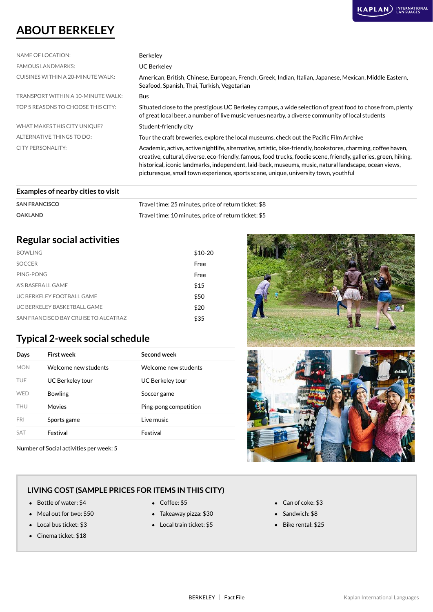### **ABOUT BERKELEY**

| NAME OF LOCATION:                  | <b>Berkeley</b>                                                                                                                                                                                                                                                                                                                                                                                                                    |
|------------------------------------|------------------------------------------------------------------------------------------------------------------------------------------------------------------------------------------------------------------------------------------------------------------------------------------------------------------------------------------------------------------------------------------------------------------------------------|
| <b>FAMOUS LANDMARKS:</b>           | <b>UC Berkeley</b>                                                                                                                                                                                                                                                                                                                                                                                                                 |
| CUISINES WITHIN A 20-MINUTE WALK:  | American, British, Chinese, European, French, Greek, Indian, Italian, Japanese, Mexican, Middle Eastern,<br>Seafood, Spanish, Thai, Turkish, Vegetarian                                                                                                                                                                                                                                                                            |
| TRANSPORT WITHIN A 10-MINUTE WALK: | <b>Bus</b>                                                                                                                                                                                                                                                                                                                                                                                                                         |
| TOP 5 REASONS TO CHOOSE THIS CITY: | Situated close to the prestigious UC Berkeley campus, a wide selection of great food to chose from, plenty<br>of great local beer, a number of live music venues nearby, a diverse community of local students                                                                                                                                                                                                                     |
| WHAT MAKES THIS CITY UNIQUE?       | Student-friendly city                                                                                                                                                                                                                                                                                                                                                                                                              |
| ALTERNATIVE THINGS TO DO:          | Tour the craft breweries, explore the local museums, check out the Pacific Film Archive                                                                                                                                                                                                                                                                                                                                            |
| CITY PERSONALITY:                  | Academic, active, active nightlife, alternative, artistic, bike-friendly, bookstores, charming, coffee haven,<br>creative, cultural, diverse, eco-friendly, famous, food trucks, foodie scene, friendly, galleries, green, hiking,<br>historical, iconic landmarks, independent, laid-back, museums, music, natural landscape, ocean views,<br>picturesque, small town experience, sports scene, unique, university town, youthful |
|                                    |                                                                                                                                                                                                                                                                                                                                                                                                                                    |

#### **Examples of nearby cities to visit**

| <b>SAN FRANCISCO</b> | Travel time: 25 minutes, price of return ticket: \$8 |
|----------------------|------------------------------------------------------|
| <b>OAKLAND</b>       | Travel time: 10 minutes, price of return ticket: \$5 |

### **Regular social activities**

| <b>BOWLING</b>                       | $$10-20$ |
|--------------------------------------|----------|
| <b>SOCCER</b>                        | Free     |
| PING-PONG                            | Free     |
| A'S BASEBALL GAME                    | \$15     |
| UC BERKELEY FOOTBALL GAME            | \$50     |
| UC BERKELEY BASKETBALL GAME          | \$20     |
| SAN FRANCISCO BAY CRUISE TO ALCATRAZ | \$35     |

### **Typical 2-week social schedule**

| Days       | <b>First week</b>    | Second week           |
|------------|----------------------|-----------------------|
| <b>MON</b> | Welcome new students | Welcome new students  |
| TUF        | UC Berkeley tour     | UC Berkeley tour      |
| <b>WFD</b> | <b>Bowling</b>       | Soccer game           |
| THU        | Movies               | Ping-pong competition |
| <b>FRI</b> | Sports game          | Live music            |
| <b>SAT</b> | Festival             | Festival              |

Number of Social activities per week: 5



#### **LIVING COST (SAMPLE PRICES FOR ITEMS IN THIS CITY)**

- Bottle of water: \$4 Coffee: \$5 Can of coke: \$3
- Meal out for two: \$50 **Takeaway pizza: \$30** Sandwich: \$8
- 
- Cinema ticket: \$18
- 
- 
- Local bus ticket: \$3 Local train ticket: \$5 Bike rental: \$25
- 
- -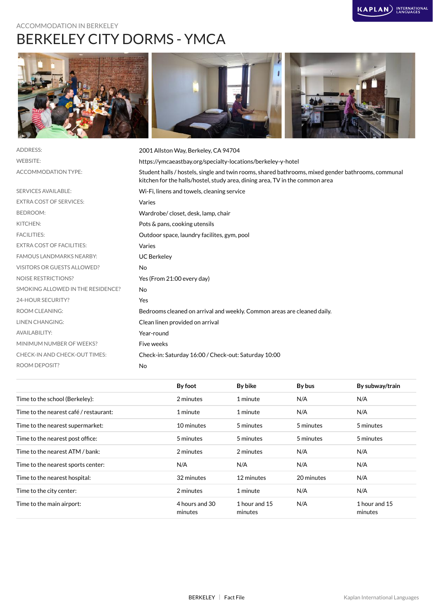### ACCOMMODATION IN BERKELEY BERKELEY CITY DORMS - YMCA





| <b>ADDRESS:</b>                   | 2001 Allston Way, Berkeley, CA 94704                                                                                                                                               |
|-----------------------------------|------------------------------------------------------------------------------------------------------------------------------------------------------------------------------------|
| <b>WEBSITE:</b>                   | https://ymcaeastbay.org/specialty-locations/berkeley-y-hotel                                                                                                                       |
| ACCOMMODATION TYPE:               | Student halls / hostels, single and twin rooms, shared bathrooms, mixed gender bathrooms, communal<br>kitchen for the halls/hostel, study area, dining area, TV in the common area |
| <b>SERVICES AVAILABLE:</b>        | Wi-Fi, linens and towels, cleaning service                                                                                                                                         |
| <b>EXTRA COST OF SERVICES:</b>    | Varies                                                                                                                                                                             |
| <b>BEDROOM:</b>                   | Wardrobe/closet, desk, lamp, chair                                                                                                                                                 |
| KITCHEN:                          | Pots & pans, cooking utensils                                                                                                                                                      |
| <b>FACILITIES:</b>                | Outdoor space, laundry facilites, gym, pool                                                                                                                                        |
| <b>EXTRA COST OF FACILITIES:</b>  | Varies                                                                                                                                                                             |
| <b>FAMOUS LANDMARKS NEARBY:</b>   | <b>UC Berkeley</b>                                                                                                                                                                 |
| VISITORS OR GUESTS ALLOWED?       | <b>No</b>                                                                                                                                                                          |
| <b>NOISE RESTRICTIONS?</b>        | Yes (From 21:00 every day)                                                                                                                                                         |
| SMOKING ALLOWED IN THE RESIDENCE? | No                                                                                                                                                                                 |
| 24-HOUR SECURITY?                 | Yes                                                                                                                                                                                |
| <b>ROOM CLEANING:</b>             | Bedrooms cleaned on arrival and weekly. Common areas are cleaned daily.                                                                                                            |
| <b>LINEN CHANGING:</b>            | Clean linen provided on arrival                                                                                                                                                    |
| <b>AVAILABILITY:</b>              | Year-round                                                                                                                                                                         |
| MINIMUM NUMBER OF WEEKS?          | Five weeks                                                                                                                                                                         |
| CHECK-IN AND CHECK-OUT TIMES:     | Check-in: Saturday 16:00 / Check-out: Saturday 10:00                                                                                                                               |
| <b>ROOM DEPOSIT?</b>              | No                                                                                                                                                                                 |
|                                   |                                                                                                                                                                                    |

|                                        | By foot                   | By bike                  | By bus     | By subway/train          |
|----------------------------------------|---------------------------|--------------------------|------------|--------------------------|
| Time to the school (Berkeley):         | 2 minutes                 | 1 minute                 | N/A        | N/A                      |
| Time to the nearest café / restaurant: | 1 minute                  | 1 minute                 | N/A        | N/A                      |
| Time to the nearest supermarket:       | 10 minutes                | 5 minutes                | 5 minutes  | 5 minutes                |
| Time to the nearest post office:       | 5 minutes                 | 5 minutes                | 5 minutes  | 5 minutes                |
| Time to the nearest ATM / bank:        | 2 minutes                 | 2 minutes                | N/A        | N/A                      |
| Time to the nearest sports center:     | N/A                       | N/A                      | N/A        | N/A                      |
| Time to the nearest hospital:          | 32 minutes                | 12 minutes               | 20 minutes | N/A                      |
| Time to the city center:               | 2 minutes                 | 1 minute                 | N/A        | N/A                      |
| Time to the main airport:              | 4 hours and 30<br>minutes | 1 hour and 15<br>minutes | N/A        | 1 hour and 15<br>minutes |